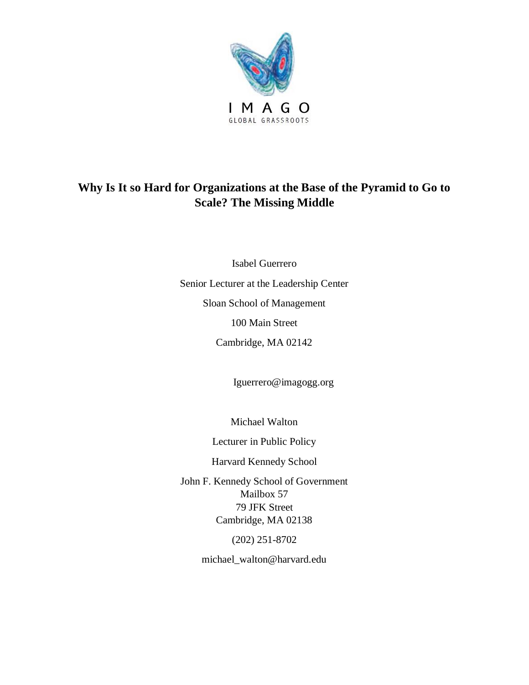

# **Why Is It so Hard for Organizations at the Base of the Pyramid to Go to Scale? The Missing Middle**

Isabel Guerrero Senior Lecturer at the Leadership Center Sloan School of Management 100 Main Street Cambridge, MA 02142

Iguerrero@imagogg.org

Michael Walton

Lecturer in Public Policy

Harvard Kennedy School

John F. Kennedy School of Government Mailbox 57 79 JFK Street Cambridge, MA 02138

(202) 251-8702

michael\_walton@harvard.edu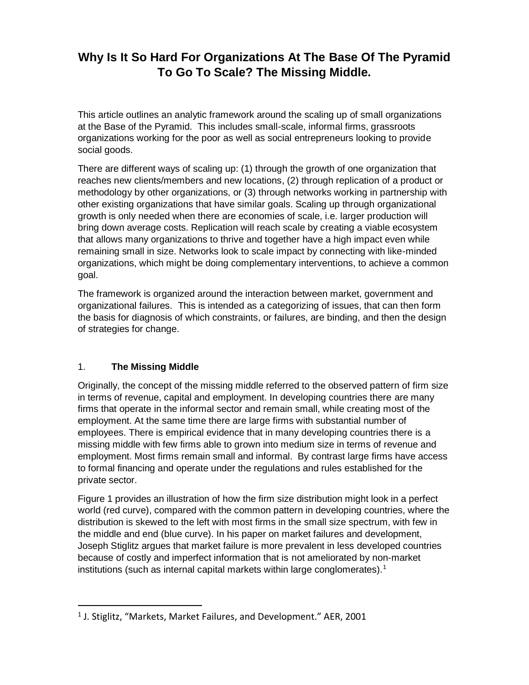## **Why Is It So Hard For Organizations At The Base Of The Pyramid To Go To Scale? The Missing Middle.**

This article outlines an analytic framework around the scaling up of small organizations at the Base of the Pyramid. This includes small-scale, informal firms, grassroots organizations working for the poor as well as social entrepreneurs looking to provide social goods.

There are different ways of scaling up: (1) through the growth of one organization that reaches new clients/members and new locations, (2) through replication of a product or methodology by other organizations, or (3) through networks working in partnership with other existing organizations that have similar goals. Scaling up through organizational growth is only needed when there are economies of scale, i.e. larger production will bring down average costs. Replication will reach scale by creating a viable ecosystem that allows many organizations to thrive and together have a high impact even while remaining small in size. Networks look to scale impact by connecting with like-minded organizations, which might be doing complementary interventions, to achieve a common goal.

The framework is organized around the interaction between market, government and organizational failures. This is intended as a categorizing of issues, that can then form the basis for diagnosis of which constraints, or failures, are binding, and then the design of strategies for change.

### 1. **The Missing Middle**

 $\overline{a}$ 

Originally, the concept of the missing middle referred to the observed pattern of firm size in terms of revenue, capital and employment. In developing countries there are many firms that operate in the informal sector and remain small, while creating most of the employment. At the same time there are large firms with substantial number of employees. There is empirical evidence that in many developing countries there is a missing middle with few firms able to grown into medium size in terms of revenue and employment. Most firms remain small and informal. By contrast large firms have access to formal financing and operate under the regulations and rules established for the private sector.

Figure 1 provides an illustration of how the firm size distribution might look in a perfect world (red curve), compared with the common pattern in developing countries, where the distribution is skewed to the left with most firms in the small size spectrum, with few in the middle and end (blue curve). In his paper on market failures and development, Joseph Stiglitz argues that market failure is more prevalent in less developed countries because of costly and imperfect information that is not ameliorated by non-market institutions (such as internal capital markets within large conglomerates).<sup>1</sup>

 $<sup>1</sup>$  J. Stiglitz, "Markets, Market Failures, and Development." AER, 2001</sup>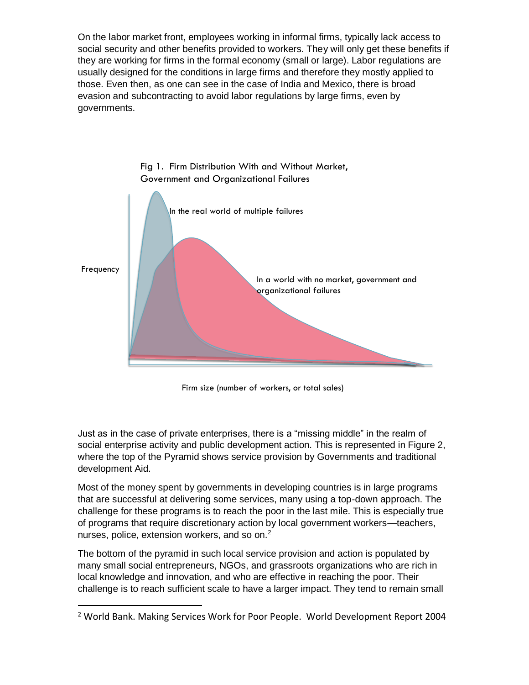On the labor market front, employees working in informal firms, typically lack access to social security and other benefits provided to workers. They will only get these benefits if they are working for firms in the formal economy (small or large). Labor regulations are usually designed for the conditions in large firms and therefore they mostly applied to those. Even then, as one can see in the case of India and Mexico, there is broad evasion and subcontracting to avoid labor regulations by large firms, even by governments.



Fig 1. Firm Distribution With and Without Market, Government and Organizational Failures

Firm size (number of workers, or total sales)

Just as in the case of private enterprises, there is a "missing middle" in the realm of social enterprise activity and public development action. This is represented in Figure 2, where the top of the Pyramid shows service provision by Governments and traditional development Aid.

Most of the money spent by governments in developing countries is in large programs that are successful at delivering some services, many using a top-down approach. The challenge for these programs is to reach the poor in the last mile. This is especially true of programs that require discretionary action by local government workers—teachers, nurses, police, extension workers, and so on.<sup>2</sup>

The bottom of the pyramid in such local service provision and action is populated by many small social entrepreneurs, NGOs, and grassroots organizations who are rich in local knowledge and innovation, and who are effective in reaching the poor. Their challenge is to reach sufficient scale to have a larger impact. They tend to remain small

 $\overline{a}$ 

<sup>&</sup>lt;sup>2</sup> World Bank. Making Services Work for Poor People. World Development Report 2004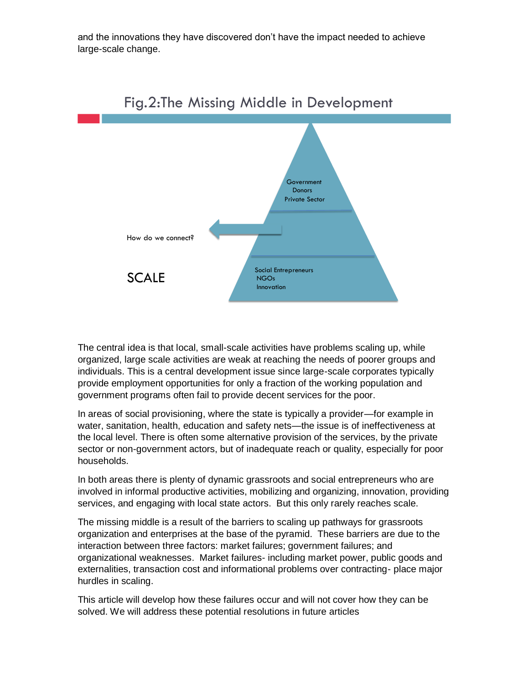and the innovations they have discovered don't have the impact needed to achieve large-scale change.



Fig.2:The Missing Middle in Development

The central idea is that local, small-scale activities have problems scaling up, while organized, large scale activities are weak at reaching the needs of poorer groups and individuals. This is a central development issue since large-scale corporates typically provide employment opportunities for only a fraction of the working population and government programs often fail to provide decent services for the poor.

In areas of social provisioning, where the state is typically a provider—for example in water, sanitation, health, education and safety nets—the issue is of ineffectiveness at the local level. There is often some alternative provision of the services, by the private sector or non-government actors, but of inadequate reach or quality, especially for poor households.

In both areas there is plenty of dynamic grassroots and social entrepreneurs who are involved in informal productive activities, mobilizing and organizing, innovation, providing services, and engaging with local state actors. But this only rarely reaches scale.

The missing middle is a result of the barriers to scaling up pathways for grassroots organization and enterprises at the base of the pyramid. These barriers are due to the interaction between three factors: market failures; government failures; and organizational weaknesses. Market failures- including market power, public goods and externalities, transaction cost and informational problems over contracting- place major hurdles in scaling.

This article will develop how these failures occur and will not cover how they can be solved. We will address these potential resolutions in future articles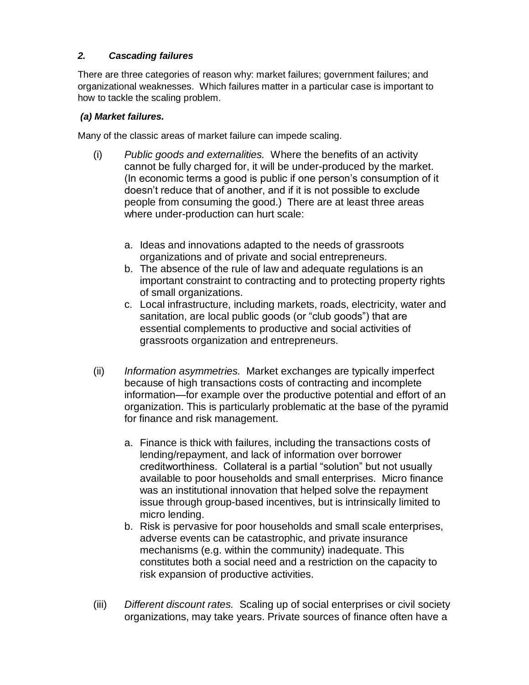## *2. Cascading failures*

There are three categories of reason why: market failures; government failures; and organizational weaknesses. Which failures matter in a particular case is important to how to tackle the scaling problem.

### *(a) Market failures.*

Many of the classic areas of market failure can impede scaling.

- (i) *Public goods and externalities.* Where the benefits of an activity cannot be fully charged for, it will be under-produced by the market. (In economic terms a good is public if one person's consumption of it doesn't reduce that of another, and if it is not possible to exclude people from consuming the good.) There are at least three areas where under-production can hurt scale:
	- a. Ideas and innovations adapted to the needs of grassroots organizations and of private and social entrepreneurs.
	- b. The absence of the rule of law and adequate regulations is an important constraint to contracting and to protecting property rights of small organizations.
	- c. Local infrastructure, including markets, roads, electricity, water and sanitation, are local public goods (or "club goods") that are essential complements to productive and social activities of grassroots organization and entrepreneurs.
- (ii) *Information asymmetries.* Market exchanges are typically imperfect because of high transactions costs of contracting and incomplete information—for example over the productive potential and effort of an organization. This is particularly problematic at the base of the pyramid for finance and risk management.
	- a. Finance is thick with failures, including the transactions costs of lending/repayment, and lack of information over borrower creditworthiness. Collateral is a partial "solution" but not usually available to poor households and small enterprises. Micro finance was an institutional innovation that helped solve the repayment issue through group-based incentives, but is intrinsically limited to micro lending.
	- b. Risk is pervasive for poor households and small scale enterprises, adverse events can be catastrophic, and private insurance mechanisms (e.g. within the community) inadequate. This constitutes both a social need and a restriction on the capacity to risk expansion of productive activities.
- (iii) *Different discount rates.* Scaling up of social enterprises or civil society organizations, may take years. Private sources of finance often have a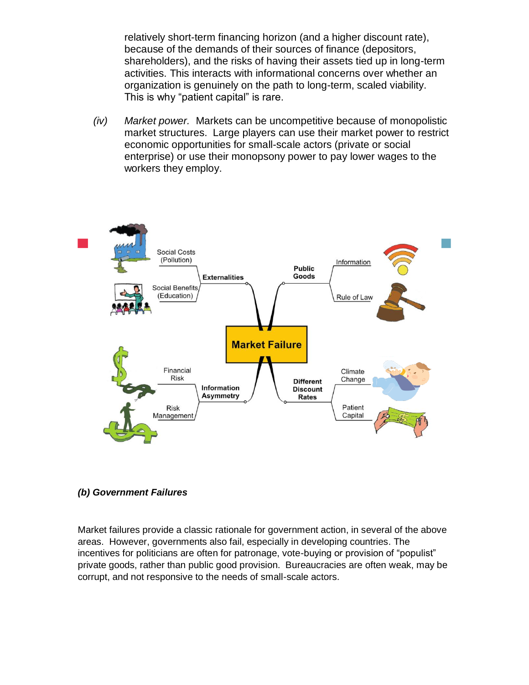relatively short-term financing horizon (and a higher discount rate), because of the demands of their sources of finance (depositors, shareholders), and the risks of having their assets tied up in long-term activities. This interacts with informational concerns over whether an organization is genuinely on the path to long-term, scaled viability. This is why "patient capital" is rare.

*(iv) Market power.* Markets can be uncompetitive because of monopolistic market structures. Large players can use their market power to restrict economic opportunities for small-scale actors (private or social enterprise) or use their monopsony power to pay lower wages to the workers they employ.



#### *(b) Government Failures*

Market failures provide a classic rationale for government action, in several of the above areas. However, governments also fail, especially in developing countries. The incentives for politicians are often for patronage, vote-buying or provision of "populist" private goods, rather than public good provision. Bureaucracies are often weak, may be corrupt, and not responsive to the needs of small-scale actors.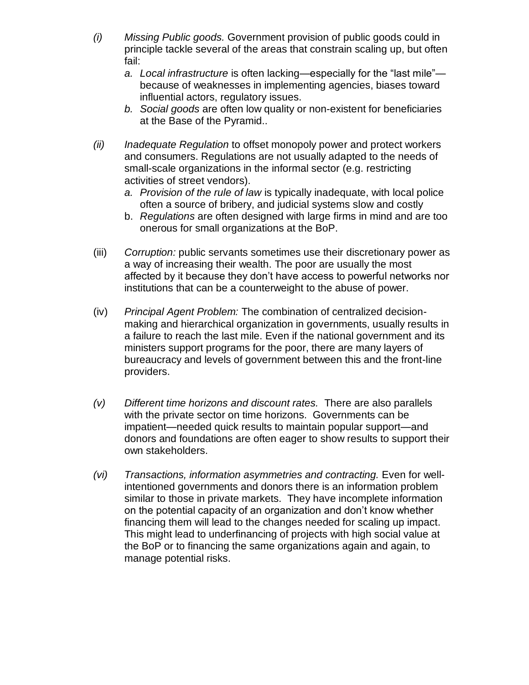- *(i) Missing Public goods.* Government provision of public goods could in principle tackle several of the areas that constrain scaling up, but often fail:
	- *a. Local infrastructure* is often lacking—especially for the "last mile" because of weaknesses in implementing agencies, biases toward influential actors, regulatory issues.
	- *b. Social goods* are often low quality or non-existent for beneficiaries at the Base of the Pyramid..
- *(ii) Inadequate Regulation* to offset monopoly power and protect workers and consumers. Regulations are not usually adapted to the needs of small-scale organizations in the informal sector (e.g. restricting activities of street vendors).
	- *a. Provision of the rule of law* is typically inadequate, with local police often a source of bribery, and judicial systems slow and costly
	- b. *Regulations* are often designed with large firms in mind and are too onerous for small organizations at the BoP.
- (iii) *Corruption:* public servants sometimes use their discretionary power as a way of increasing their wealth. The poor are usually the most affected by it because they don't have access to powerful networks nor institutions that can be a counterweight to the abuse of power.
- (iv) *Principal Agent Problem:* The combination of centralized decisionmaking and hierarchical organization in governments, usually results in a failure to reach the last mile. Even if the national government and its ministers support programs for the poor, there are many layers of bureaucracy and levels of government between this and the front-line providers.
- *(v) Different time horizons and discount rates.* There are also parallels with the private sector on time horizons. Governments can be impatient—needed quick results to maintain popular support—and donors and foundations are often eager to show results to support their own stakeholders.
- *(vi) Transactions, information asymmetries and contracting.* Even for wellintentioned governments and donors there is an information problem similar to those in private markets. They have incomplete information on the potential capacity of an organization and don't know whether financing them will lead to the changes needed for scaling up impact. This might lead to underfinancing of projects with high social value at the BoP or to financing the same organizations again and again, to manage potential risks.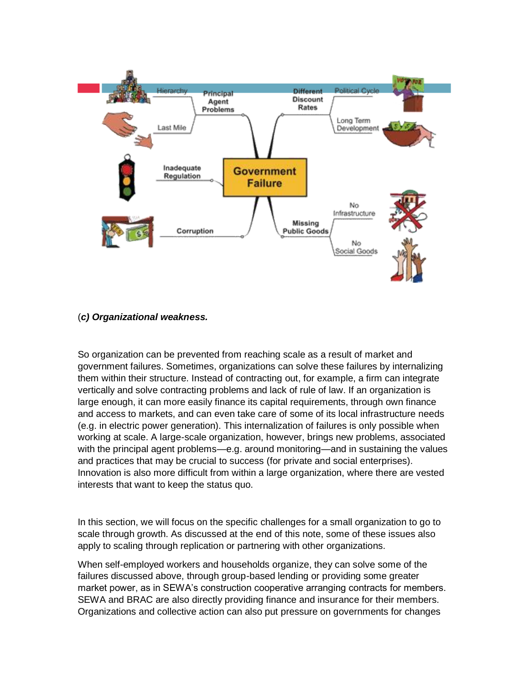

#### (*c) Organizational weakness.*

So organization can be prevented from reaching scale as a result of market and government failures. Sometimes, organizations can solve these failures by internalizing them within their structure. Instead of contracting out, for example, a firm can integrate vertically and solve contracting problems and lack of rule of law. If an organization is large enough, it can more easily finance its capital requirements, through own finance and access to markets, and can even take care of some of its local infrastructure needs (e.g. in electric power generation). This internalization of failures is only possible when working at scale. A large-scale organization, however, brings new problems, associated with the principal agent problems—e.g. around monitoring—and in sustaining the values and practices that may be crucial to success (for private and social enterprises). Innovation is also more difficult from within a large organization, where there are vested interests that want to keep the status quo.

In this section, we will focus on the specific challenges for a small organization to go to scale through growth. As discussed at the end of this note, some of these issues also apply to scaling through replication or partnering with other organizations.

When self-employed workers and households organize, they can solve some of the failures discussed above, through group-based lending or providing some greater market power, as in SEWA's construction cooperative arranging contracts for members. SEWA and BRAC are also directly providing finance and insurance for their members. Organizations and collective action can also put pressure on governments for changes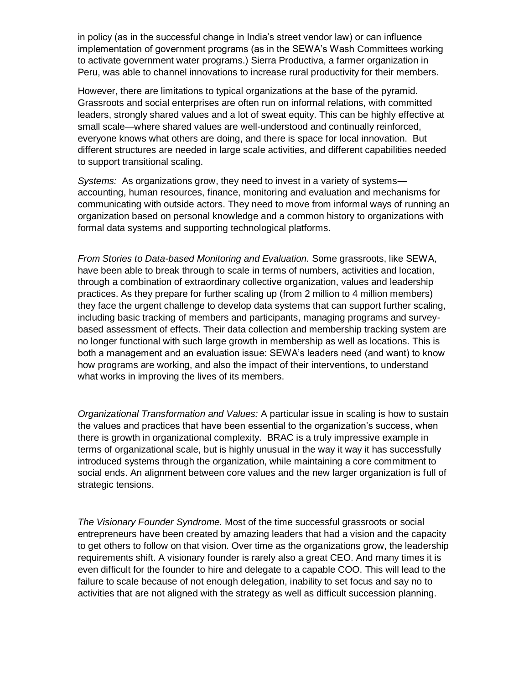in policy (as in the successful change in India's street vendor law) or can influence implementation of government programs (as in the SEWA's Wash Committees working to activate government water programs.) Sierra Productiva, a farmer organization in Peru, was able to channel innovations to increase rural productivity for their members.

However, there are limitations to typical organizations at the base of the pyramid. Grassroots and social enterprises are often run on informal relations, with committed leaders, strongly shared values and a lot of sweat equity. This can be highly effective at small scale—where shared values are well-understood and continually reinforced, everyone knows what others are doing, and there is space for local innovation. But different structures are needed in large scale activities, and different capabilities needed to support transitional scaling.

*Systems:* As organizations grow, they need to invest in a variety of systems accounting, human resources, finance, monitoring and evaluation and mechanisms for communicating with outside actors. They need to move from informal ways of running an organization based on personal knowledge and a common history to organizations with formal data systems and supporting technological platforms.

*From Stories to Data-based Monitoring and Evaluation.* Some grassroots, like SEWA, have been able to break through to scale in terms of numbers, activities and location, through a combination of extraordinary collective organization, values and leadership practices. As they prepare for further scaling up (from 2 million to 4 million members) they face the urgent challenge to develop data systems that can support further scaling, including basic tracking of members and participants, managing programs and surveybased assessment of effects. Their data collection and membership tracking system are no longer functional with such large growth in membership as well as locations. This is both a management and an evaluation issue: SEWA's leaders need (and want) to know how programs are working, and also the impact of their interventions, to understand what works in improving the lives of its members.

*Organizational Transformation and Values:* A particular issue in scaling is how to sustain the values and practices that have been essential to the organization's success, when there is growth in organizational complexity. BRAC is a truly impressive example in terms of organizational scale, but is highly unusual in the way it way it has successfully introduced systems through the organization, while maintaining a core commitment to social ends. An alignment between core values and the new larger organization is full of strategic tensions.

*The Visionary Founder Syndrome.* Most of the time successful grassroots or social entrepreneurs have been created by amazing leaders that had a vision and the capacity to get others to follow on that vision. Over time as the organizations grow, the leadership requirements shift. A visionary founder is rarely also a great CEO. And many times it is even difficult for the founder to hire and delegate to a capable COO. This will lead to the failure to scale because of not enough delegation, inability to set focus and say no to activities that are not aligned with the strategy as well as difficult succession planning.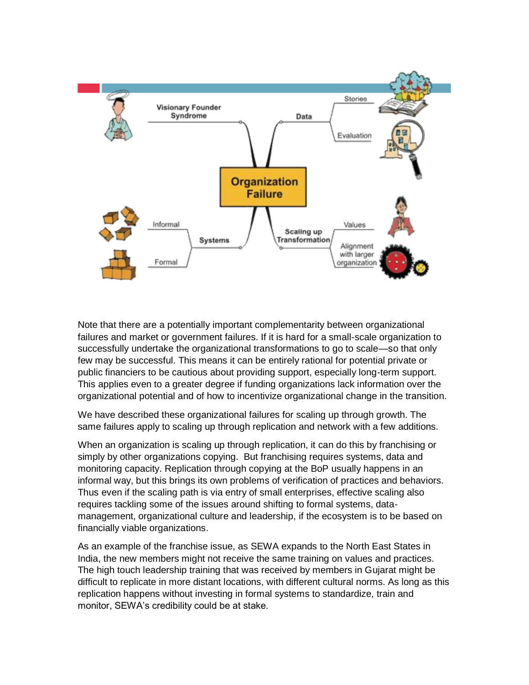

Note that there are a potentially important complementarity between organizational failures and market or government failures. If it is hard for a small-scale organization to successfully undertake the organizational transformations to go to scale—so that only few may be successful. This means it can be entirely rational for potential private or public financiers to be cautious about providing support, especially long-term support. This applies even to a greater degree if funding organizations lack information over the organizational potential and of how to incentivize organizational change in the transition.

We have described these organizational failures for scaling up through growth. The same failures apply to scaling up through replication and network with a few additions.

When an organization is scaling up through replication, it can do this by franchising or simply by other organizations copying. But franchising requires systems, data and monitoring capacity. Replication through copying at the BoP usually happens in an informal way, but this brings its own problems of verification of practices and behaviors. Thus even if the scaling path is via entry of small enterprises, effective scaling also requires tackling some of the issues around shifting to formal systems, datamanagement, organizational culture and leadership, if the ecosystem is to be based on financially viable organizations.

As an example of the franchise issue, as SEWA expands to the North East States in India, the new members might not receive the same training on values and practices. The high touch leadership training that was received by members in Gujarat might be difficult to replicate in more distant locations, with different cultural norms. As long as this replication happens without investing in formal systems to standardize, train and monitor, SEWA's credibility could be at stake.